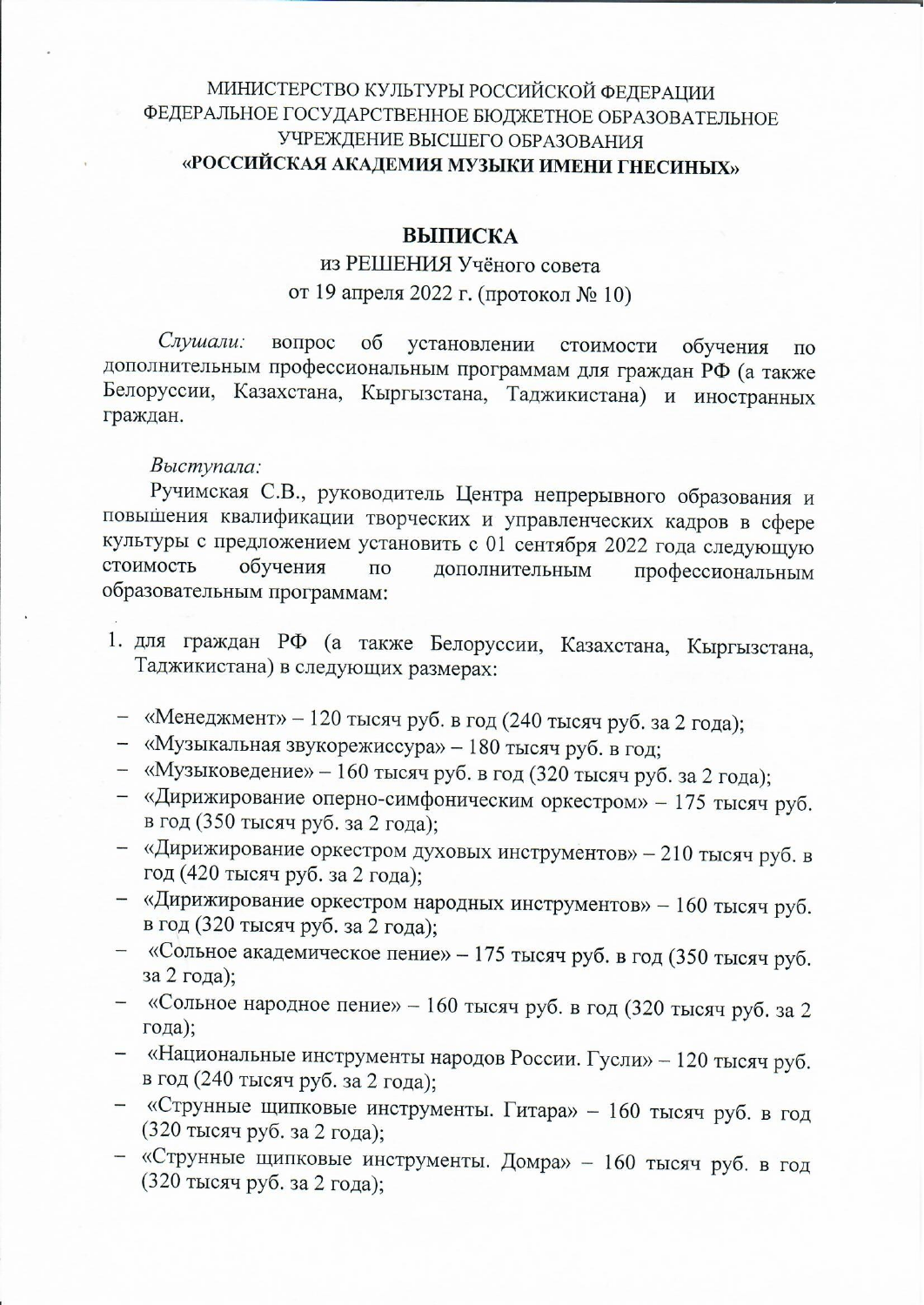## МИНИСТЕРСТВО КУЛЬТУРЫ РОССИЙСКОЙ ФЕДЕРАЦИИ ФЕДЕРАЛЬНОЕ ГОСУДАРСТВЕННОЕ БЮДЖЕТНОЕ ОБРАЗОВАТЕЛЬНОЕ УЧРЕЖДЕНИЕ ВЫСШЕГО ОБРАЗОВАНИЯ «РОССИЙСКАЯ АКАДЕМИЯ МУЗЫКИ ИМЕНИ ГНЕСИНЫХ»

### **ВЫПИСКА**

# из РЕШЕНИЯ Учёного совета от 19 апреля 2022 г. (протокол № 10)

Слушали: вопрос  $\overline{00}$ установлении стоимости обучения  $\Pi$ <sup>O</sup> дополнительным профессиональным программам для граждан РФ (а также Белоруссии, Казахстана, Кыргызстана, Таджикистана) и иностранных граждан.

### Выступала:

Ручимская С.В., руководитель Центра непрерывного образования и повышения квалификации творческих и управленческих кадров в сфере культуры с предложением установить с 01 сентября 2022 года следующую стоимость обучения  $\Pi$ O дополнительным профессиональным образовательным программам:

- 1. для граждан РФ (а также Белоруссии, Казахстана, Кыргызстана, Таджикистана) в следующих размерах:
- «Менеджмент» 120 тысяч руб. в год (240 тысяч руб. за 2 года);
- «Музыкальная звукорежиссура» 180 тысяч руб. в год;
- «Музыковедение» 160 тысяч руб. в год (320 тысяч руб. за 2 года);
- «Дирижирование оперно-симфоническим оркестром» 175 тысяч руб. в год (350 тысяч руб. за 2 года);
- «Дирижирование оркестром духовых инструментов» 210 тысяч руб. в год (420 тысяч руб. за 2 года);
- «Дирижирование оркестром народных инструментов» 160 тысяч руб. в год (320 тысяч руб. за 2 года);
- «Сольное академическое пение» 175 тысяч руб. в год (350 тысяч руб. за 2 года);
- «Сольное народное пение» 160 тысяч руб. в год (320 тысяч руб. за 2 года);
- «Национальные инструменты народов России. Гусли» 120 тысяч руб. в год (240 тысяч руб. за 2 года);
- «Струнные щипковые инструменты. Гитара» 160 тысяч руб. в год (320 тысяч руб. за 2 года);
- «Струнные щипковые инструменты. Домра» 160 тысяч руб. в год (320 тысяч руб. за 2 года);